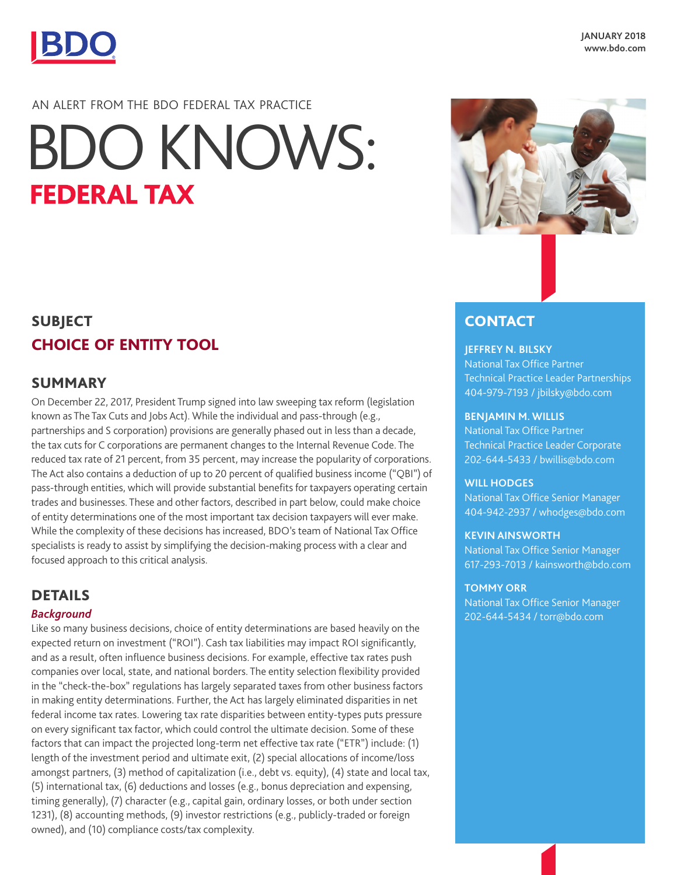

# AN ALERT FROM THE BDO FEDERAL TAX PRACTICE BDO KNOWS:<br>FEDERAL TAX



## **SUBJECT** CHOICE OF ENTITY TOOL

## SUMMARY

On December 22, 2017, President Trump signed into law sweeping tax reform (legislation known as The Tax Cuts and Jobs Act). While the individual and pass-through (e.g., partnerships and S corporation) provisions are generally phased out in less than a decade, the tax cuts for C corporations are permanent changes to the Internal Revenue Code. The reduced tax rate of 21 percent, from 35 percent, may increase the popularity of corporations. The Act also contains a deduction of up to 20 percent of qualified business income ("QBI") of pass-through entities, which will provide substantial benefits for taxpayers operating certain trades and businesses. These and other factors, described in part below, could make choice of entity determinations one of the most important tax decision taxpayers will ever make. While the complexity of these decisions has increased, BDO's team of National Tax Office specialists is ready to assist by simplifying the decision-making process with a clear and focused approach to this critical analysis.

## DETAILS

#### *Background*

Like so many business decisions, choice of entity determinations are based heavily on the expected return on investment ("ROI"). Cash tax liabilities may impact ROI significantly, and as a result, often influence business decisions. For example, effective tax rates push companies over local, state, and national borders. The entity selection flexibility provided in the "check-the-box" regulations has largely separated taxes from other business factors in making entity determinations. Further, the Act has largely eliminated disparities in net federal income tax rates. Lowering tax rate disparities between entity-types puts pressure on every significant tax factor, which could control the ultimate decision. Some of these factors that can impact the projected long-term net effective tax rate ("ETR") include: (1) length of the investment period and ultimate exit, (2) special allocations of income/loss amongst partners, (3) method of capitalization (i.e., debt vs. equity), (4) state and local tax, (5) international tax, (6) deductions and losses (e.g., bonus depreciation and expensing, timing generally), (7) character (e.g., capital gain, ordinary losses, or both under section 1231), (8) accounting methods, (9) investor restrictions (e.g., publicly-traded or foreign owned), and (10) compliance costs/tax complexity.

## **CONTACT**

#### **JEFFREY N. BILSKY**

National Tax Office Partner Technical Practice Leader Partnerships 404-979-7193 / jbilsky@bdo.com

#### **BENJAMIN M. WILLIS**

National Tax Office Partner Technical Practice Leader Corporate 202-644-5433 / bwillis@bdo.com

#### **WILL HODGES**

National Tax Office Senior Manager 404-942-2937 / whodges@bdo.com

#### **KEVIN AINSWORTH**

National Tax Office Senior Manager 617-293-7013 / kainsworth@bdo.com

#### **TOMMY ORR**

National Tax Office Senior Manager 202-644-5434 / torr@bdo.com